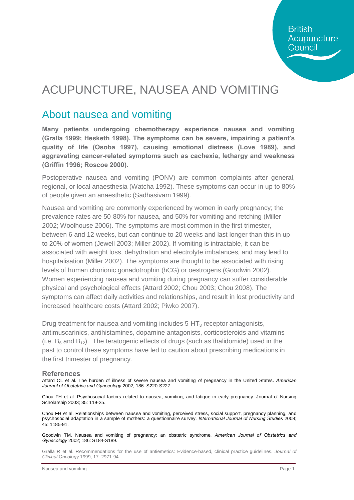# ACUPUNCTURE, NAUSEA AND VOMITING

## About nausea and vomiting

**Many patients undergoing chemotherapy experience nausea and vomiting (Gralla 1999; Hesketh 1998). The symptoms can be severe, impairing a patient's quality of life (Osoba 1997), causing emotional distress (Love 1989), and aggravating cancer-related symptoms such as cachexia, lethargy and weakness (Griffin 1996; Roscoe 2000).** 

Postoperative nausea and vomiting (PONV) are common complaints after general, regional, or local anaesthesia (Watcha 1992). These symptoms can occur in up to 80% of people given an anaesthetic (Sadhasivam 1999).

Nausea and vomiting are commonly experienced by women in early pregnancy; the prevalence rates are 50-80% for nausea, and 50% for vomiting and retching (Miller 2002; Woolhouse 2006). The symptoms are most common in the first trimester, between 6 and 12 weeks, but can continue to 20 weeks and last longer than this in up to 20% of women (Jewell 2003; Miller 2002). If vomiting is intractable, it can be associated with weight loss, dehydration and electrolyte imbalances, and may lead to hospitalisation (Miller 2002). The symptoms are thought to be associated with rising levels of human chorionic gonadotrophin (hCG) or oestrogens (Goodwin 2002). Women experiencing nausea and vomiting during pregnancy can suffer considerable physical and psychological effects (Attard 2002; Chou 2003; Chou 2008). The symptoms can affect daily activities and relationships, and result in lost productivity and increased healthcare costs (Attard 2002; Piwko 2007).

Drug treatment for nausea and vomiting includes 5-HT<sub>3</sub> receptor antagonists, antimuscarinics, antihistamines, dopamine antagonists, corticosteroids and vitamins (i.e.  $B_6$  and  $B_{12}$ ). The teratogenic effects of drugs (such as thalidomide) used in the past to control these symptoms have led to caution about prescribing medications in the first trimester of pregnancy.

### **References**

Attard CL et al. The burden of illness of severe nausea and vomiting of pregnancy in the United States. *American Journal of Obstetrics and Gynecology* 2002; 186: S220-S227.

Chou FH et al. Psychosocial factors related to nausea, vomiting, and fatigue in early pregnancy. Journal of Nursing Scholarship 2003; 35: 119-25.

Chou FH et al. Relationships between nausea and vomiting, perceived stress, social support, pregnancy planning, and psychosocial adaptation in a sample of mothers: a questionnaire survey. *International Journal of Nursing Studies* 2008; 45: 1185-91.

Goodwin TM. Nausea and vomiting of pregnancy: an obstetric syndrome. *American Journal of Obstetrics and Gynecology* 2002; 186: S184-S189.

Gralla R et al. Recommendations for the use of antiemetics: Evidence-based, clinical practice guidelines. *Journal of Clinical Oncology* 1999; 17: 2971-94.

Nausea and vomiting **Page 1** Nausea and vomiting **Page 1** Nausea and vomiting **Page 1** Nausea and vomiting **Page 1**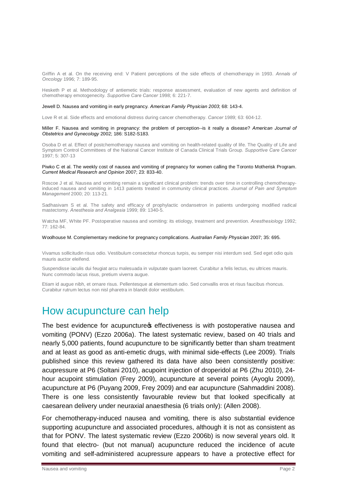Griffin A et al. On the receiving end: V Patient perceptions of the side effects of chemotherapy in 1993. *Annals of Oncology* 1996; 7: 189-95.

Hesketh P et al. Methodology of antiemetic trials: response assessment, evaluation of new agents and definition of chemotherapy emotogenecity. *Supportive Care Cancer* 1998; 6: 221-7.

#### Jewell D. Nausea and vomiting in early pregnancy. *American Family Physician 2003*; 68: 143-4.

Love R et al. Side effects and emotional distress during cancer chemotherapy. *Cancer* 1989; 63: 604-12.

Miller F. Nausea and vomiting in pregnancy: the problem of perception--is it really a disease? *American Journal of Obstetrics and Gynecology* 2002; 186: S182-S183.

Osoba D et al. Effect of postchemotherapy nausea and vomiting on health-related quality of life. The Quality of Life and Symptom Control Committees of the National Cancer Institute of Canada Clinical Trials Group. *Supportive Care Cancer* 1997; 5: 307-13

#### Piwko C et al. The weekly cost of nausea and vomiting of pregnancy for women calling the Toronto Motherisk Program. *Current Medical Research and Opinion* 2007; 23: 833-40.

Roscoe J et al. Nausea and vomiting remain a significant clinical problem: trends over time in controlling chemotherapyinduced nausea and vomiting in 1413 patients treated in community clinical practices. *Journal of Pain and Symptom Management* 2000; 20: 113-21.

Sadhasivam S et al. The safety and efficacy of prophylactic ondansetron in patients undergoing modified radical mastectomy. *Anesthesia and Analgesia* 1999; 89: 1340-5.

Watcha MF, White PF. Postoperative nausea and vomiting: its etiology, treatment and prevention. *Anesthesiology* 1992; 77: 162-84.

#### Woolhouse M. Complementary medicine for pregnancy complications. *Australian Family Physician* 2007; 35: 695.

Vivamus sollicitudin risus odio. Vestibulum consectetur rhoncus turpis, eu semper nisi interdum sed. Sed eget odio quis mauris auctor eleifend.

Suspendisse iaculis dui feugiat arcu malesuada in vulputate quam laoreet. Curabitur a felis lectus, eu ultrices mauris. Nunc commodo lacus risus, pretium viverra augue.

Etiam id augue nibh, et ornare risus. Pellentesque at elementum odio. Sed convallis eros et risus faucibus rhoncus. Curabitur rutrum lectus non nisl pharetra in blandit dolor vestibulum.

### How acupuncture can help

The best evidence for acupuncture of effectiveness is with postoperative nausea and vomiting (PONV) (Ezzo 2006a). The latest systematic review, based on 40 trials and nearly 5,000 patients, found acupuncture to be significantly better than sham treatment and at least as good as anti-emetic drugs, with minimal side-effects (Lee 2009). Trials published since this review gathered its data have also been consistently positive: acupressure at P6 (Soltani 2010), acupoint injection of droperidol at P6 (Zhu 2010), 24 hour acupoint stimulation (Frey 2009), acupuncture at several points (Ayoglu 2009), acupuncture at P6 (Puyang 2009, Frey 2009) and ear acupuncture (Sahmaddini 2008). There is one less consistently favourable review but that looked specifically at caesarean delivery under neuraxial anaesthesia (6 trials only): (Allen 2008).

For chemotherapy-induced nausea and vomiting, there is also substantial evidence supporting acupuncture and associated procedures, although it is not as consistent as that for PONV. The latest systematic review (Ezzo 2006b) is now several years old. It found that electro- (but not manual) acupuncture reduced the incidence of acute vomiting and self-administered acupressure appears to have a protective effect for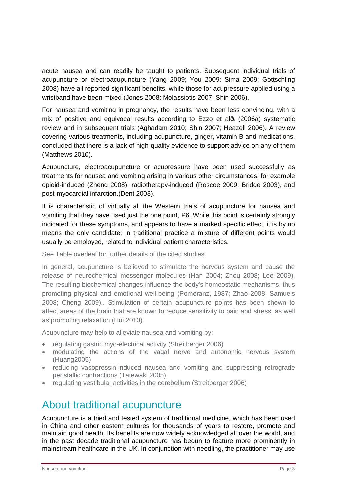acute nausea and can readily be taught to patients. Subsequent individual trials of acupuncture or electroacupuncture (Yang 2009; You 2009; Sima 2009; Gottschling 2008) have all reported significant benefits, while those for acupressure applied using a wristband have been mixed (Jones 2008; Molassiotis 2007; Shin 2006).

For nausea and vomiting in pregnancy, the results have been less convincing, with a mix of positive and equivocal results according to Ezzo et alo (2006a) systematic review and in subsequent trials (Aghadam 2010; Shin 2007; Heazell 2006). A review covering various treatments, including acupuncture, ginger, vitamin B and medications, concluded that there is a lack of high-quality evidence to support advice on any of them (Matthews 2010).

Acupuncture, electroacupuncture or acupressure have been used successfully as treatments for nausea and vomiting arising in various other circumstances, for example opioid-induced (Zheng 2008), radiotherapy-induced (Roscoe 2009; Bridge 2003), and post-myocardial infarction.(Dent 2003).

It is characteristic of virtually all the Western trials of acupuncture for nausea and vomiting that they have used just the one point, P6. While this point is certainly strongly indicated for these symptoms, and appears to have a marked specific effect, it is by no means the only candidate; in traditional practice a mixture of different points would usually be employed, related to individual patient characteristics.

See Table overleaf for further details of the cited studies.

In general, acupuncture is believed to stimulate the nervous system and cause the release of neurochemical messenger molecules (Han 2004; Zhou 2008; Lee 2009). The resulting biochemical changes influence the body's homeostatic mechanisms, thus promoting physical and emotional well-being (Pomeranz, 1987; Zhao 2008; Samuels 2008; Cheng 2009).. Stimulation of certain acupuncture points has been shown to affect areas of the brain that are known to reduce sensitivity to pain and stress, as well as promoting relaxation (Hui 2010).

Acupuncture may help to alleviate nausea and vomiting by:

- · regulating gastric myo-electrical activity (Streitberger 2006)
- · modulating the actions of the vagal nerve and autonomic nervous system (Huang2005)
- · reducing vasopressin-induced nausea and vomiting and suppressing retrograde peristaltic contractions (Tatewaki 2005)
- · regulating vestibular activities in the cerebellum (Streitberger 2006)

## About traditional acupuncture

Acupuncture is a tried and tested system of traditional medicine, which has been used in China and other eastern cultures for thousands of years to restore, promote and maintain good health. Its benefits are now widely acknowledged all over the world, and in the past decade traditional acupuncture has begun to feature more prominently in mainstream healthcare in the UK. In conjunction with needling, the practitioner may use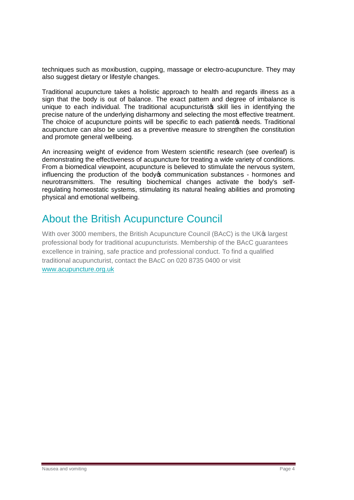techniques such as moxibustion, cupping, massage or electro-acupuncture. They may also suggest dietary or lifestyle changes.

Traditional acupuncture takes a holistic approach to health and regards illness as a sign that the body is out of balance. The exact pattern and degree of imbalance is unique to each individual. The traditional acupuncturistos skill lies in identifying the precise nature of the underlying disharmony and selecting the most effective treatment. The choice of acupuncture points will be specific to each patient of needs. Traditional acupuncture can also be used as a preventive measure to strengthen the constitution and promote general wellbeing.

An increasing weight of evidence from Western scientific research (see overleaf) is demonstrating the effectiveness of acupuncture for treating a wide variety of conditions. From a biomedical viewpoint, acupuncture is believed to stimulate the nervous system, influencing the production of the body to communication substances - hormones and neurotransmitters. The resulting biochemical changes activate the body's selfregulating homeostatic systems, stimulating its natural healing abilities and promoting physical and emotional wellbeing.

# About the British Acupuncture Council

With over 3000 members, the British Acupuncture Council (BAcC) is the UK<sup>®</sup> largest professional body for traditional acupuncturists. Membership of the BAcC guarantees excellence in training, safe practice and professional conduct. To find a qualified traditional acupuncturist, contact the BAcC on 020 8735 0400 or visit www.acupuncture.org.uk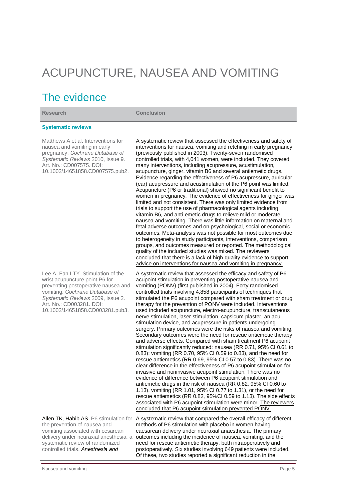# ACUPUNCTURE, NAUSEA AND VOMITING

# The evidence

**Research Conclusion**

### **Systematic reviews**

| Matthews A et al. Interventions for<br>nausea and vomiting in early<br>pregnancy. Cochrane Database of<br>Systematic Reviews 2010, Issue 9.<br>Art. No.: CD007575. DOI:<br>10.1002/14651858.CD007575.pub2.                                        | A systematic review that assessed the effectiveness and safety of<br>interventions for nausea, vomiting and retching in early pregnancy<br>(previously published in 2003). Twenty-seven randomised<br>controlled trials, with 4,041 women, were included. They covered<br>many interventions, including acupressure, acustimulation,<br>acupuncture, ginger, vitamin B6 and several antiemetic drugs.<br>Evidence regarding the effectiveness of P6 acupressure, auricular<br>(ear) acupressure and acustimulation of the P6 point was limited.<br>Acupuncture (P6 or traditional) showed no significant benefit to<br>women in pregnancy. The evidence of effectiveness for ginger was<br>limited and not consistent. There was only limited evidence from<br>trials to support the use of pharmacological agents including<br>vitamin B6, and anti-emetic drugs to relieve mild or moderate<br>nausea and vomiting. There was little information on maternal and<br>fetal adverse outcomes and on psychological, social or economic<br>outcomes. Meta-analysis was not possible for most outcomes due<br>to heterogeneity in study participants, interventions, comparison<br>groups, and outcomes measured or reported. The methodological<br>quality of the included studies was mixed. The reviewers<br>concluded that there is a lack of high-quality evidence to support<br>advice on interventions for nausea and vomiting in pregnancy.                                                                                                                                |
|---------------------------------------------------------------------------------------------------------------------------------------------------------------------------------------------------------------------------------------------------|---------------------------------------------------------------------------------------------------------------------------------------------------------------------------------------------------------------------------------------------------------------------------------------------------------------------------------------------------------------------------------------------------------------------------------------------------------------------------------------------------------------------------------------------------------------------------------------------------------------------------------------------------------------------------------------------------------------------------------------------------------------------------------------------------------------------------------------------------------------------------------------------------------------------------------------------------------------------------------------------------------------------------------------------------------------------------------------------------------------------------------------------------------------------------------------------------------------------------------------------------------------------------------------------------------------------------------------------------------------------------------------------------------------------------------------------------------------------------------------------------------------------------------------------------------------------------------|
| Lee A, Fan LTY. Stimulation of the<br>wrist acupuncture point P6 for<br>preventing postoperative nausea and<br>vomiting. Cochrane Database of<br>Systematic Reviews 2009, Issue 2.<br>Art. No.: CD003281. DOI:<br>10.1002/14651858.CD003281.pub3. | A systematic review that assessed the efficacy and safety of P6<br>acupoint stimulation in preventing postoperative nausea and<br>vomiting (PONV) (first published in 2004). Forty randomised<br>controlled trials involving 4,858 participants of techniques that<br>stimulated the P6 acupoint compared with sham treatment or drug<br>therapy for the prevention of PONV were included. Interventions<br>used included acupuncture, electro-acupuncture, transcutaneous<br>nerve stimulation, laser stimulation, capsicum plaster, an acu-<br>stimulation device, and acupressure in patients undergoing<br>surgery. Primary outcomes were the risks of nausea and vomiting.<br>Secondary outcomes were the need for rescue antiemetic therapy<br>and adverse effects. Compared with sham treatment P6 acupoint<br>stimulation significantly reduced: nausea (RR 0.71, 95% CI 0.61 to<br>0.83); vomiting (RR 0.70, 95% CI 0.59 to 0.83), and the need for<br>rescue antiemetics (RR 0.69, 95% CI 0.57 to 0.83). There was no<br>clear difference in the effectiveness of P6 acupoint stimulation for<br>invasive and noninvasive acupoint stimulation. There was no<br>evidence of difference between P6 acupoint stimulation and<br>antiemetic drugs in the risk of nausea (RR 0.82, 95% CI 0.60 to<br>1.13), vomiting (RR 1.01, 95% CI 0.77 to 1.31), or the need for<br>rescue antiemetics (RR 0.82, 95%Cl 0.59 to 1.13). The side effects<br>associated with P6 acupoint stimulation were minor. The reviewers<br>concluded that P6 acupoint stimulation prevented PONV. |
| Allen TK, Habib AS. P6 stimulation for<br>the prevention of nausea and<br>vomiting associated with cesarean<br>delivery under neuraxial anesthesia: a<br>systematic review of randomized<br>controlled trials. Anesthesia and                     | A systematic review that compared the overall efficacy of different<br>methods of P6 stimulation with placebo in women having<br>caesarean delivery under neuraxial anaesthesia. The primary<br>outcomes including the incidence of nausea, vomiting, and the<br>need for rescue antiemetic therapy, both intraoperatively and<br>postoperatively. Six studies involving 649 patients were included.                                                                                                                                                                                                                                                                                                                                                                                                                                                                                                                                                                                                                                                                                                                                                                                                                                                                                                                                                                                                                                                                                                                                                                            |

Of these, two studies reported a significant reduction in the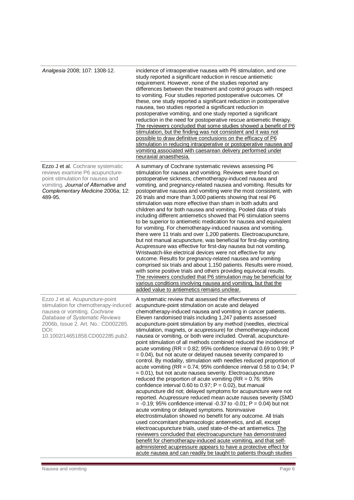| Analgesia 2008; 107: 1308-12.                                                                                                                                                                                               | incidence of intraoperative nausea with P6 stimulation, and one<br>study reported a significant reduction in rescue antiemetic<br>requirement. However, none of the studies reported any<br>differences between the treatment and control groups with respect<br>to vomiting. Four studies reported postoperative outcomes. Of<br>these, one study reported a significant reduction in postoperative<br>nausea, two studies reported a significant reduction in<br>postoperative vomiting, and one study reported a significant<br>reduction in the need for postoperative rescue antiemetic therapy.<br>The reviewers concluded that some studies showed a benefit of P6<br>stimulation, but the finding was not consistent and it was not<br>possible to draw definitive conclusions on the efficacy of P6<br>stimulation in reducing intraoperative or postoperative nausea and<br>vomiting associated with caesarean delivery performed under<br>neuraxial anaesthesia.                                                                                                                                                                                                                                                                                                                                                                                                                                                                                                                                                                                                                                                                                                                                                                                             |
|-----------------------------------------------------------------------------------------------------------------------------------------------------------------------------------------------------------------------------|-------------------------------------------------------------------------------------------------------------------------------------------------------------------------------------------------------------------------------------------------------------------------------------------------------------------------------------------------------------------------------------------------------------------------------------------------------------------------------------------------------------------------------------------------------------------------------------------------------------------------------------------------------------------------------------------------------------------------------------------------------------------------------------------------------------------------------------------------------------------------------------------------------------------------------------------------------------------------------------------------------------------------------------------------------------------------------------------------------------------------------------------------------------------------------------------------------------------------------------------------------------------------------------------------------------------------------------------------------------------------------------------------------------------------------------------------------------------------------------------------------------------------------------------------------------------------------------------------------------------------------------------------------------------------------------------------------------------------------------------------------------------------|
| Ezzo J et al. Cochrane systematic<br>reviews examine P6 acupuncture-<br>point stimulation for nausea and<br>vomiting. Journal of Alternative and<br>Complementary Medicine 2006a; 12:<br>489-95.                            | A summary of Cochrane systematic reviews assessing P6<br>stimulation for nausea and vomiting. Reviews were found on<br>postoperative sickness, chemotherapy-induced nausea and<br>vomiting, and pregnancy-related nausea and vomiting. Results for<br>postoperative nausea and vomiting were the most consistent, with<br>26 trials and more than 3,000 patients showing that real P6<br>stimulation was more effective than sham in both adults and<br>children and for both nausea and vomiting. Pooled data of trials<br>including different antiemetics showed that P6 stimulation seems<br>to be superior to antiemetic medication for nausea and equivalent<br>for vomiting. For chemotherapy-induced nausea and vomiting,<br>there were 11 trials and over 1,200 patients. Electroacupuncture,<br>but not manual acupuncture, was beneficial for first-day vomiting.<br>Acupressure was effective for first-day nausea but not vomiting.<br>Wristwatch-like electrical devices were not effective for any<br>outcome. Results for pregnancy-related nausea and vomiting<br>comprised six trials and about 1,150 patients. Results were mixed,<br>with some positive trials and others providing equivocal results.<br>The reviewers concluded that P6 stimulation may be beneficial for<br>various conditions involving nausea and vomiting, but that the<br>added value to antiemetics remains unclear.                                                                                                                                                                                                                                                                                                                                                         |
| Ezzo J et al. Acupuncture-point<br>stimulation for chemotherapy-induced<br>nausea or vomiting. Cochrane<br>Database of Systematic Reviews<br>2006b, Issue 2. Art. No.: CD002285.<br>DOI:<br>10.1002/14651858.CD002285.pub2. | A systematic review that assessed the effectiveness of<br>acupuncture-point stimulation on acute and delayed<br>chemotherapy-induced nausea and vomiting in cancer patients.<br>Eleven randomised trials including 1,247 patients assessed<br>acupuncture-point stimulation by any method (needles, electrical<br>stimulation, magnets, or acupressure) for chemotherapy-induced<br>nausea or vomiting, or both were included. Overall, acupuncture-<br>point stimulation of all methods combined reduced the incidence of<br>acute vomiting (RR = $0.82$ ; 95% confidence interval 0.69 to 0.99; P<br>$= 0.04$ ), but not acute or delayed nausea severity compared to<br>control. By modality, stimulation with needles reduced proportion of<br>acute vomiting (RR = $0.74$ ; 95% confidence interval 0.58 to 0.94; P<br>= 0.01), but not acute nausea severity. Electroacupuncture<br>reduced the proportion of acute vomiting ( $RR = 0.76$ ; 95%<br>confidence interval 0.60 to 0.97; $P = 0.02$ ), but manual<br>acupuncture did not; delayed symptoms for acupuncture were not<br>reported. Acupressure reduced mean acute nausea severity (SMD<br>$= -0.19$ ; 95% confidence interval -0.37 to -0.01; P = 0.04) but not<br>acute vomiting or delayed symptoms. Noninvasive<br>electrostimulation showed no benefit for any outcome. All trials<br>used concomitant pharmacologic antiemetics, and all, except<br>electroacupuncture trials, used state-of-the-art antiemetics. The<br>reviewers concluded that electroacupuncture has demonstrated<br>benefit for chemotherapy-induced acute vomiting, and that self-<br>administered acupressure appears to have a protective effect for<br>acute nausea and can readily be taught to patients though studies |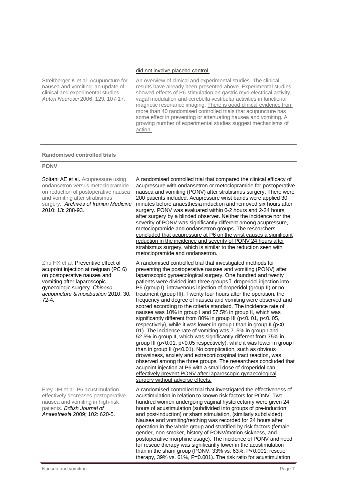### did not involve placebo control.

Streitberger K et al. Acupuncture for nausea and vomiting: an update of clinical and experimental studies. *Auton Neurosci* 2006; 129: 107-17.

An overview of clinical and experimental studies. The clinical results have already been presented above. Experimental studies showed effects of P6-stimulation on gastric myo-electrical activity, vagal modulation and cerebella vestibular activities in functional magnetic resonance imaging. There is good clinical evidence from more than 40 randomised controlled trials that acupuncture has some effect in preventing or attenuating nausea and vomiting. A growing number of experimental studies suggest mechanisms of action.

#### **Randomised controlled trials**

### **PONV**

| Soltani AE et al. Acupressure using<br>ondansetron versus metoclopramide<br>on reduction of postoperative nausea<br>and vomiting after strabismus<br>surgery. Archives of Iranian Medicine<br>2010; 13: 288-93.              | A randomised controlled trial that compared the clinical efficacy of<br>acupressure with ondansetron or metoclopramide for postoperative<br>nausea and vomiting (PONV) after strabismus surgery. There were<br>200 patients included. Acupressure wrist bands were applied 30<br>minutes before anaesthesia induction and removed six hours after<br>surgery. PONV was evaluated within 0-2 hours and 2-24 hours<br>after surgery by a blinded observer. Neither the incidence nor the<br>severity of PONV was significantly different among acupressure,<br>metoclopramide and ondansetron groups. The researchers<br>concluded that acupressure at P6 on the wrist causes a significant<br>reduction in the incidence and severity of PONV 24 hours after<br>strabismus surgery, which is similar to the reduction seen with<br>metoclopramide and ondansetron.                                                                                                                                                                                                                                                                                                                                                                                                                                                                             |
|------------------------------------------------------------------------------------------------------------------------------------------------------------------------------------------------------------------------------|-----------------------------------------------------------------------------------------------------------------------------------------------------------------------------------------------------------------------------------------------------------------------------------------------------------------------------------------------------------------------------------------------------------------------------------------------------------------------------------------------------------------------------------------------------------------------------------------------------------------------------------------------------------------------------------------------------------------------------------------------------------------------------------------------------------------------------------------------------------------------------------------------------------------------------------------------------------------------------------------------------------------------------------------------------------------------------------------------------------------------------------------------------------------------------------------------------------------------------------------------------------------------------------------------------------------------------------------------|
| Zhu HX et al. Preventive effect of<br>acupoint injection at neiguan (PC 6)<br>on postoperative nausea and<br>vomiting after laparoscopic<br>gynecologic surgery. Chinese<br>acupuncture & moxibustion 2010; 30:<br>$72 - 4.$ | A randomised controlled trial that investigated methods for<br>preventing the postoperative nausea and vomiting (PONV) after<br>laparoscopic gynaecological surgery. One hundred and twenty<br>patients were divided into three groups. droperidol injection into<br>P6 (group I), intravenous injection of droperidol (group II) or no<br>treatment (group III). Twenty four hours after the operation, the<br>frequency and degree of nausea and vomiting were observed and<br>scored according to the criteria standard. The incidence rate of<br>nausea was 10% in group I and 57.5% in group II, which was<br>significantly different from 80% in group III (p<0. 01, p<0. 05,<br>respectively), while it was lower in group I than in group II (p<0.<br>01). The incidence rate of vomiting was 7.5% in group I and<br>52.5% in group II, which was significantly different from 75% in<br>group III (p<0.01, p<0.05 respectively), while it was lower in group I<br>than in group II (p<0.01). No complication, such as obvious<br>drowsiness, anxiety and extracorticospinal tract reaction, was<br>observed among the three groups. The researchers concluded that<br>acupoint injection at P6 with a small dose of droperidol can<br>effectively prevent PONV after laparoscopic gynaecological<br>surgery without adverse effects. |
| Frey UH et al. P6 acustimulation<br>effectively decreases postoperative<br>nausea and vomiting in high-risk<br>patients. British Journal of<br>Anaesthesia 2009; 102: 620-5.                                                 | A randomised controlled trial that investigated the effectiveness of<br>acustimulation in relation to known risk factors for PONV. Two<br>hundred women undergoing vaginal hysterectomy were given 24<br>hours of acustimulation (subdivided into groups of pre-induction<br>and post-induction) or sham stimulation, (similarly subdivided).<br>Nausea and vomiting/retching was recorded for 24 hours after<br>operation in the whole group and stratified by risk factors (female<br>gender, non-smoker, history of PONV/motion sickness, and<br>postoperative morphine usage). The incidence of PONV and need<br>for rescue therapy was significantly lower in the acustimulation<br>than in the sham group (PONV, 33% vs. 63%, P<0.001; rescue<br>therapy, 39% vs. 61%, P=0.001). The risk ratio for acustimulation                                                                                                                                                                                                                                                                                                                                                                                                                                                                                                                      |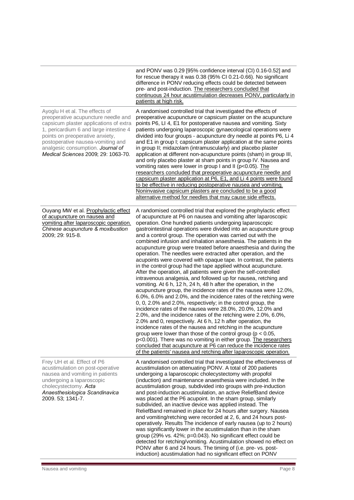|                                                                                                                                                                                                                                                                                                               | and PONV was 0.29 [95% confidence interval (CI) 0.16-0.52] and<br>for rescue therapy it was 0.38 (95% CI 0.21-0.66). No significant<br>difference in PONV reducing effects could be detected between<br>pre- and post-induction. The researchers concluded that<br>continuous 24 hour acustimulation decreases PONV, particularly in<br>patients at high risk.                                                                                                                                                                                                                                                                                                                                                                                                                                                                                                                                                                                                                                                                                                                                                                                                                                                                                                                                                                                                                                                                                                                                                                                                                                                                                             |
|---------------------------------------------------------------------------------------------------------------------------------------------------------------------------------------------------------------------------------------------------------------------------------------------------------------|------------------------------------------------------------------------------------------------------------------------------------------------------------------------------------------------------------------------------------------------------------------------------------------------------------------------------------------------------------------------------------------------------------------------------------------------------------------------------------------------------------------------------------------------------------------------------------------------------------------------------------------------------------------------------------------------------------------------------------------------------------------------------------------------------------------------------------------------------------------------------------------------------------------------------------------------------------------------------------------------------------------------------------------------------------------------------------------------------------------------------------------------------------------------------------------------------------------------------------------------------------------------------------------------------------------------------------------------------------------------------------------------------------------------------------------------------------------------------------------------------------------------------------------------------------------------------------------------------------------------------------------------------------|
| Ayoglu H et al. The effects of<br>preoperative acupuncture needle and<br>capsicum plaster applications of extra<br>1, pericardium 6 and large intestine 4<br>points on preoperative anxiety,<br>postoperative nausea-vomiting and<br>analgesic consumption. Journal of<br>Medical Sciences 2009; 29: 1063-70. | A randomised controlled trial that investigated the effects of<br>preoperative acupuncture or capsicum plaster on the acupuncture<br>points P6, LI 4, E1 for postoperative nausea and vomiting. Sixty<br>patients undergoing laparoscopic gynaecological operations were<br>divided into four groups - acupuncture dry needle at points P6, Li 4<br>and E1 in group I; capsicum plaster application at the same points<br>in group II; midazolam (intramuscularly) and placebo plaster<br>application at different non-acupuncture points (sham) in group III,<br>and only placebo plaster at sham points in group IV. Nausea and<br>vomiting rates were lower in group I and II (p<0.05). The<br>researchers concluded that preoperative acupuncture needle and<br>capsicum plaster application at P6, E1, and Li 4 points were found<br>to be effective in reducing postoperative nausea and vomiting.<br>Noninvasive capsicum plasters are concluded to be a good<br>alternative method for needles that may cause side effects.                                                                                                                                                                                                                                                                                                                                                                                                                                                                                                                                                                                                                        |
| Ouyang MW et al. Prophylactic effect<br>of acupuncture on nausea and<br>vomiting after laparoscopic operation.<br>Chinese acupuncture & moxibustion<br>2009; 29: 915-8.                                                                                                                                       | A randomised controlled trial that explored the prophylactic effect<br>of acupuncture at P6 on nausea and vomiting after laparoscopic<br>operation. One hundred patients undergoing laparoscopic<br>gastrointestinal operations were divided into an acupuncture group<br>and a control group. The operation was carried out with the<br>combined infusion and inhalation anaesthesia. The patients in the<br>acupuncture group were treated before anaesthesia and during the<br>operation. The needles were extracted after operation, and the<br>acupoints were covered with opaque tape. In contrast, the patients<br>in the control group had the tape applied without acupuncture.<br>After the operation, all patients were given the self-controlled<br>intravenous analgesia, and followed up for nausea, retching and<br>vomiting. At 6 h, 12 h, 24 h, 48 h after the operation, in the<br>acupuncture group, the incidence rates of the nausea were 12.0%,<br>6.0%, 6.0% and 2.0%, and the incidence rates of the retching were<br>0, 0, 2.0% and 2.0%, respectively; in the control group, the<br>incidence rates of the nausea were 28.0%, 20.0%, 12.0% and<br>2.0%, and the incidence rates of the retching were 2.0%, 6.0%,<br>2.0% and 0, respectively. At 6 h, 12 h after operation, the<br>incidence rates of the nausea and retching in the acupuncture<br>group were lower than those of the control group ( $p < 0.05$ ,<br>p<0.001). There was no vomiting in either group. The researchers<br>concluded that acupuncture at P6 can reduce the incidence rates<br>of the patients' nausea and retching after laparoscopic operation. |
| Frey UH et al. Effect of P6<br>acustimulation on post-operative<br>nausea and vomiting in patients<br>undergoing a laparoscopic<br>cholecystectomy. Acta<br>Anaesthesiologica Scandinavica<br>2009. 53; 1341-7.                                                                                               | A randomised controlled trial that investigated the effectiveness of<br>acustimulation on attenuating PONV. A total of 200 patients<br>undergoing a laparoscopic cholecystectomy with propofol<br>(induction) and maintenance anaesthesia were included. In the<br>acustimulation group, subdivided into groups with pre-induction<br>and post-induction acustimulation, an active ReliefBand device<br>was placed at the P6 acupoint. In the sham group, similarly<br>subdivided, an inactive device was applied instead. The<br>ReliefBand remained in place for 24 hours after surgery. Nausea<br>and vomiting/retching were recorded at 2, 6, and 24 hours post-<br>operatively. Results The incidence of early nausea (up to 2 hours)<br>was significantly lower in the acustimulation than in the sham<br>group (29% vs. 42%; p=0.043). No significant effect could be<br>detected for retching/vomiting. Acustimulation showed no effect on<br>PONV after 6 and 24 hours. The timing of (i.e. pre- vs. post-<br>induction) acustimulation had no significant effect on PONV                                                                                                                                                                                                                                                                                                                                                                                                                                                                                                                                                                         |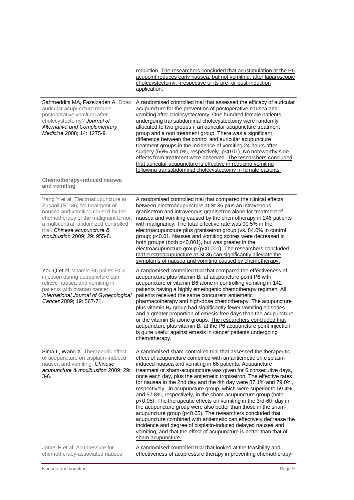|                                                                                                                                                                                                                                                              | reduction. The researchers concluded that acustimulation at the P6<br>acupoint reduces early nausea, but not vomiting, after laparoscopic<br>cholecystectomy, irrespective of its pre- or post-induction<br>application.                                                                                                                                                                                                                                                                                                                                                                                                                                                                                                                                                                                                                                                                                                                                                               |
|--------------------------------------------------------------------------------------------------------------------------------------------------------------------------------------------------------------------------------------------------------------|----------------------------------------------------------------------------------------------------------------------------------------------------------------------------------------------------------------------------------------------------------------------------------------------------------------------------------------------------------------------------------------------------------------------------------------------------------------------------------------------------------------------------------------------------------------------------------------------------------------------------------------------------------------------------------------------------------------------------------------------------------------------------------------------------------------------------------------------------------------------------------------------------------------------------------------------------------------------------------------|
| Sahmeddini MA, Fazelzadeh A. Does<br>auricular acupuncture reduce<br>postoperative vomiting after<br>cholecystectomy? Journal of<br>Alternative and Complementary<br>Medicine 2008; 14: 1275-9.                                                              | A randomised controlled trial that assessed the efficacy of auricular<br>acupuncture for the prevention of postoperative nausea and<br>vomiting after cholecystectomy. One hundred female patients<br>undergoing transabdominal cholecystectomy were randomly<br>allocated to two groups. an auricular acupuncture treatment<br>group and a non treatment group. There was a significant<br>difference between the control and auricular acupuncture<br>treatment groups in the incidence of vomiting 24 hours after<br>surgery (66% and 0%, respectively, p<0.01). No noteworthy side<br>effects from treatment were observed. The researchers concluded<br>that auricular acupuncture is effective in reducing vomiting<br>following transabdominal cholecystectomy in female patients.                                                                                                                                                                                              |
| Chemotherapy-induced nausea<br>and vomiting                                                                                                                                                                                                                  |                                                                                                                                                                                                                                                                                                                                                                                                                                                                                                                                                                                                                                                                                                                                                                                                                                                                                                                                                                                        |
| Yang Y et al. Electroacupuncture at<br>Zusanli (ST 36) for treatment of<br>nausea and vomiting caused by the<br>chemotherapy of the malignant tumor:<br>a multicentral randomized controlled<br>trial. Chinese acupuncture &<br>moxibustion 2009; 29: 955-8. | A randomised controlled trial that compared the clinical effects<br>between electroacupuncture at St 36 plus an intravenous<br>granisetron and intravenous granisetron alone for treatment of<br>nausea and vomiting caused by the chemotherapy in 246 patients<br>with malignancy. The total effective rate was 90.5% in the<br>electroacupuncture plus granisetron group (vs. 84.0% in control<br>group; p<0.01. Nausea and vomiting scores were decreased in<br>both groups (both p<0.001), but was greater in the<br>electroacupuncture group (p<0.001). The researchers concluded<br>that electroacupuncture at St 36 can significantly alleviate the<br>symptoms of nausea and vomiting caused by chemotherapy.                                                                                                                                                                                                                                                                  |
| You Q et al. Vitamin B6 points PC6<br>injection during acupuncture can<br>relieve nausea and vomiting in<br>patients with ovarian cancer.<br>International Journal of Gynecological<br>Cancer 2009; 19: 567-71.                                              | A randomised controlled trial that compared the effectiveness of<br>acupuncture plus vitamin $B_6$ at acupuncture point P6 with<br>acupuncture or vitamin B6 alone in controlling vomiting in 142<br>patients having a highly emetogenic chemotherapy regimen. All<br>patients received the same concurrent antiemetic<br>pharmacotherapy and high-dose chemotherapy. The acupuncture<br>plus vitamin $B_6$ group had significantly fewer vomiting episodes<br>and a greater proportion of emesis-free days than the acupuncture<br>or the vitamin B <sub>6</sub> alone groups. The researchers concluded that<br>$acupuncture plus vitamin B6 at the P6 acupuncture point injection$<br>is quite useful against emesis in cancer patients undergoing<br>chemotherapy.                                                                                                                                                                                                                 |
| Sima L, Wang X. Therapeutic effect<br>of acupuncture on cisplatin-induced<br>nausea and vomiting. Chinese<br>acupuncture & moxibustion 2009; 29:<br>3-6.                                                                                                     | A randomised sham-controlled trial that assessed the therapeutic<br>effect of acupuncture combined with an antiemetic on cisplatin-<br>induced nausea and vomiting in 66 patients. Acupuncture<br>treatment or sham-acupuncture was given for 6 consecutive days,<br>once each day, plus the antiemetic tropisetron. The effective rates<br>for nausea in the 2nd day and the 4th day were 87.1% and 79.0%,<br>respectively, in acupuncture group, which were superior to 59.4%<br>and 57.8%, respectively, in the sham-acupuncture group (both<br>p<0.05). The therapeutic effects on vomiting in the 3rd-6th day in<br>the acupuncture group were also better than those in the sham-<br>acupuncture group (p<0.05). The researchers concluded that<br>acupuncture combined with antiemetic can effectively decrease the<br>incidence and degree of cisplatin-induced delayed nausea and<br>vomiting, and that the effect of acupuncture is better than that of<br>sham acupuncture. |
| Jones E et al. Acupressure for<br>chemotherapy-associated nausea                                                                                                                                                                                             | A randomised controlled trial that looked at the feasibility and<br>effectiveness of acupressure therapy in preventing chemotherapy-                                                                                                                                                                                                                                                                                                                                                                                                                                                                                                                                                                                                                                                                                                                                                                                                                                                   |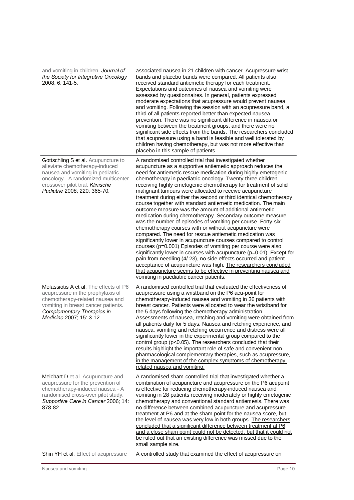| and vomiting in children. Journal of<br>the Society for Integrative Oncology<br>2008; 6: 141-5.                                                                                                                      | associated nausea in 21 children with cancer. Acupressure wrist<br>bands and placebo bands were compared. All patients also<br>received standard antiemetic therapy for each treatment.<br>Expectations and outcomes of nausea and vomiting were<br>assessed by questionnaires. In general, patients expressed<br>moderate expectations that acupressure would prevent nausea<br>and vomiting. Following the session with an acupressure band, a<br>third of all patients reported better than expected nausea<br>prevention. There was no significant difference in nausea or<br>vomiting between the treatment groups, and there were no<br>significant side effects from the bands. The researchers concluded<br>that acupressure using a band is feasible and well tolerated by<br>children having chemotherapy, but was not more effective than<br>placebo in this sample of patients.                                                                                                                                                                                                                                                                                                                                                                                                        |
|----------------------------------------------------------------------------------------------------------------------------------------------------------------------------------------------------------------------|----------------------------------------------------------------------------------------------------------------------------------------------------------------------------------------------------------------------------------------------------------------------------------------------------------------------------------------------------------------------------------------------------------------------------------------------------------------------------------------------------------------------------------------------------------------------------------------------------------------------------------------------------------------------------------------------------------------------------------------------------------------------------------------------------------------------------------------------------------------------------------------------------------------------------------------------------------------------------------------------------------------------------------------------------------------------------------------------------------------------------------------------------------------------------------------------------------------------------------------------------------------------------------------------------|
| Gottschling S et al. Acupuncture to<br>alleviate chemotherapy-induced<br>nausea and vomiting in pediatric<br>oncology - A randomized multicenter<br>crossover pilot trial. Klinische<br>Padiatrie 2008; 220: 365-70. | A randomised controlled trial that investigated whether<br>acupuncture as a supportive antiemetic approach reduces the<br>need for antiemetic rescue medication during highly emetogenic<br>chemotherapy in paediatric oncology. Twenty-three children<br>receiving highly emetogenic chemotherapy for treatment of solid<br>malignant tumours were allocated to receive acupuncture<br>treatment during either the second or third identical chemotherapy<br>course together with standard antiemetic medication. The main<br>outcome measure was the amount of additional antiemetic<br>medication during chemotherapy. Secondary outcome measure<br>was the number of episodes of vomiting per course. Forty-six<br>chemotherapy courses with or without acupuncture were<br>compared. The need for rescue antiemetic medication was<br>significantly lower in acupuncture courses compared to control<br>courses (p=0.001) Episodes of vomiting per course were also<br>significantly lower in courses with acupuncture (p=0.01). Except for<br>pain from needling (4/23), no side effects occurred and patient<br>acceptance of acupuncture was high. The researchers concluded<br>that acupuncture seems to be effective in preventing nausea and<br>vomiting in paediatric cancer patients. |
| Molassiotis A et al. The effects of P6<br>acupressure in the prophylaxis of<br>chemotherapy-related nausea and<br>vomiting in breast cancer patients.<br>Complementary Therapies in<br>Medicine 2007; 15: 3-12.      | A randomised controlled trial that evaluated the effectiveness of<br>acupressure using a wristband on the P6 acu-point for<br>chemotherapy-induced nausea and vomiting in 36 patients with<br>breast cancer. Patients were allocated to wear the wristband for<br>the 5 days following the chemotherapy administration.<br>Assessments of nausea, retching and vomiting were obtained from<br>all patients daily for 5 days. Nausea and retching experience, and<br>nausea, vomiting and retching occurrence and distress were all<br>significantly lower in the experimental group compared to the<br>control group (p<0.05). The researchers concluded that their<br>results highlight the important role of safe and convenient non-<br>pharmacological complementary therapies, such as acupressure,<br>in the management of the complex symptoms of chemotherapy-<br>related nausea and vomiting.                                                                                                                                                                                                                                                                                                                                                                                             |
| Melchart D et al. Acupuncture and<br>acupressure for the prevention of<br>chemotherapy-induced nausea - A<br>randomised cross-over pilot study.<br>Supportive Care in Cancer 2006; 14:<br>878-82.                    | A randomised sham-controlled trial that investigated whether a<br>combination of acupuncture and acupressure on the P6 acupoint<br>is effective for reducing chemotherapy-induced nausea and<br>vomiting in 28 patients receiving moderately or highly emetogenic<br>chemotherapy and conventional standard antiemesis. There was<br>no difference between combined acupuncture and acupressure<br>treatment at P6 and at the sham point for the nausea score, but<br>the level of nausea was very low in both groups. The researchers<br>concluded that a significant difference between treatment at P6<br>and a close sham point could not be detected, but that it could not<br>be ruled out that an existing difference was missed due to the<br>small sample size.                                                                                                                                                                                                                                                                                                                                                                                                                                                                                                                           |
| Shin YH et al. Effect of acupressure                                                                                                                                                                                 | A controlled study that examined the effect of acupressure on                                                                                                                                                                                                                                                                                                                                                                                                                                                                                                                                                                                                                                                                                                                                                                                                                                                                                                                                                                                                                                                                                                                                                                                                                                      |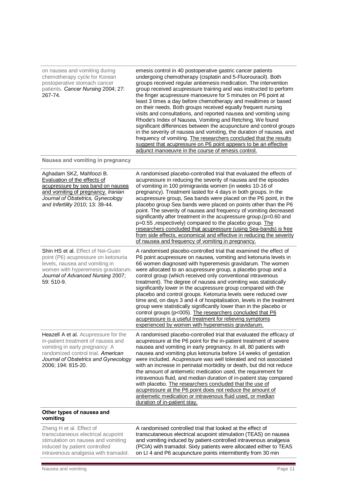| on nausea and vomiting during<br>chemotherapy cycle for Korean<br>postoperative stomach cancer<br>patients. Cancer Nursing 2004; 27:<br>267-74.                                                                  | emesis control in 40 postoperative gastric cancer patients<br>undergoing chemotherapy (cisplatin and 5-Fluorouracil). Both<br>groups received regular antiemesis medication. The intervention<br>group received acupressure training and was instructed to perform<br>the finger acupressure manoeuvre for 5 minutes on P6 point at<br>least 3 times a day before chemotherapy and mealtimes or based<br>on their needs. Both groups received equally frequent nursing<br>visits and consultations, and reported nausea and vomiting using<br>Rhode's Index of Nausea, Vomiting and Retching. We found<br>significant differences between the acupuncture and control groups<br>in the severity of nausea and vomiting, the duration of nausea, and<br>frequency of vomiting. The researchers concluded that the results<br>suggest that acupressure on P6 point appears to be an effective<br>adjunct manoeuvre in the course of emesis control. |
|------------------------------------------------------------------------------------------------------------------------------------------------------------------------------------------------------------------|---------------------------------------------------------------------------------------------------------------------------------------------------------------------------------------------------------------------------------------------------------------------------------------------------------------------------------------------------------------------------------------------------------------------------------------------------------------------------------------------------------------------------------------------------------------------------------------------------------------------------------------------------------------------------------------------------------------------------------------------------------------------------------------------------------------------------------------------------------------------------------------------------------------------------------------------------|
| Nausea and vomiting in pregnancy                                                                                                                                                                                 |                                                                                                                                                                                                                                                                                                                                                                                                                                                                                                                                                                                                                                                                                                                                                                                                                                                                                                                                                   |
| Aghadam SKZ, Mahfoozi B.<br>Evaluation of the effects of<br>acupressure by sea band on nausea<br>and vomiting of pregnancy. Iranian<br>Journal of Obstetrics, Gynecology<br>and Infertility 2010; 13: 39-44.     | A randomised placebo-controlled trial that evaluated the effects of<br>acupressure in reducing the severity of nausea and the episodes<br>of vomiting in 100 primigravida women (in weeks 10-16 of<br>pregnancy). Treatment lasted for 4 days in both groups. In the<br>acupressure group, Sea bands were placed on the P6 point, in the<br>placebo group Sea bands were placed on points other than the P6<br>point. The severity of nausea and frequency of vomiting decreased<br>significantly after treatment in the acupressure group.(p=0.60 and<br>p=0.55, respectively) compared to the placebo group. The<br>researchers concluded that acupressure (using Sea-bands) is free<br>from side effects, economical and effective in reducing the severity<br>of nausea and frequency of vomiting in pregnancy.                                                                                                                               |
| Shin HS et al. Effect of Nei-Guan<br>point (P6) acupressure on ketonuria<br>levels, nausea and vomiting in<br>women with hyperemesis gravidarum.<br>Journal of Advanced Nursing 2007;<br>59: 510-9.              | A randomised placebo-controlled trial that examined the effect of<br>P6 point acupressure on nausea, vomiting and ketonuria levels in<br>66 women diagnosed with hyperemesis gravidarum. The women<br>were allocated to an acupressure group, a placebo group and a<br>control group (which received only conventional intravenous<br>treatment). The degree of nausea and vomiting was statistically<br>significantly lower in the acupressure group compared with the<br>placebo and control groups. Ketonuria levels were reduced over<br>time and, on days 3 and 4 of hospitalisation, levels in the treatment<br>group were statistically significantly lower than in the placebo or<br>control groups (p<005). The researchers concluded that P6<br>acupressure is a useful treatment for relieving symptoms<br>experienced by women with hyperemesis gravidarum.                                                                           |
| Heazell A et al. Acupressure for the<br>in-patient treatment of nausea and<br>vomiting in early pregnancy: A<br>randomized control trial. American<br>Journal of Obstetrics and Gynecology<br>2006; 194: 815-20. | A randomised placebo-controlled trial that evaluated the efficacy of<br>acupressure at the P6 point for the in-patient treatment of severe<br>nausea and vomiting in early pregnancy. In all, 80 patients with<br>nausea and vomiting plus ketonuria before 14 weeks of gestation<br>were included. Acupressure was well tolerated and not associated<br>with an increase in perinatal morbidity or death, but did not reduce<br>the amount of antiemetic medication used, the requirement for<br>intravenous fluid, and median duration of in-patient stay compared<br>with placebo. The researchers concluded that the use of<br>acupressure at the P6 point does not reduce the amount of<br>antiemetic medication or intravenous fluid used, or median<br>duration of in-patient stay.                                                                                                                                                        |
| Other types of nausea and<br>vomiting                                                                                                                                                                            |                                                                                                                                                                                                                                                                                                                                                                                                                                                                                                                                                                                                                                                                                                                                                                                                                                                                                                                                                   |
| Zheng H et al. Effect of<br>transcutaneous electrical acupoint<br>stimulation on nausea and vomiting<br>induced by patient controlled                                                                            | A randomised controlled trial that looked at the effect of<br>transcutaneous electrical acupoint stimulation (TEAS) on nausea<br>and vomiting induced by patient-controlled intravenous analgesia<br>(PCIA) with tramadol. Sixty patients were allocated either to TEAS                                                                                                                                                                                                                                                                                                                                                                                                                                                                                                                                                                                                                                                                           |

on LI 4 and P6 acupuncture points intermittently from 30 min

intravenous analgesia with tramadol.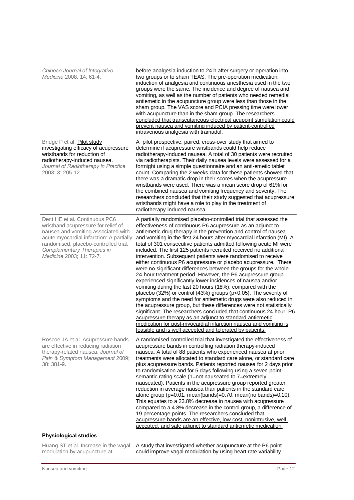| Chinese Journal of Integrative<br>Medicine 2008; 14: 61-4.                                                                                                                                                                                                 | before analgesia induction to 24 h after surgery or operation into<br>two groups or to sham TEAS. The pre-operation medication,<br>induction of analgesia and continuous anesthesia used in the two<br>groups were the same. The incidence and degree of nausea and<br>vomiting, as well as the number of patients who needed remedial<br>antiemetic in the acupuncture group were less than those in the<br>sham group. The VAS score and PCIA pressing time were lower<br>with acupuncture than in the sham group. The researchers<br>concluded that transcutaneous electrical acupoint stimulation could<br>prevent nausea and vomiting induced by patient-controlled<br>intravenous analgesia with tramadol.                                                                                                                                                                                                                                                                                                                                                                                                                                                                                                                                                                                         |
|------------------------------------------------------------------------------------------------------------------------------------------------------------------------------------------------------------------------------------------------------------|----------------------------------------------------------------------------------------------------------------------------------------------------------------------------------------------------------------------------------------------------------------------------------------------------------------------------------------------------------------------------------------------------------------------------------------------------------------------------------------------------------------------------------------------------------------------------------------------------------------------------------------------------------------------------------------------------------------------------------------------------------------------------------------------------------------------------------------------------------------------------------------------------------------------------------------------------------------------------------------------------------------------------------------------------------------------------------------------------------------------------------------------------------------------------------------------------------------------------------------------------------------------------------------------------------|
| Bridge P et al. Pilot study<br>investigating efficacy of acupressure<br>wristbands for reduction of<br>radiotherapy-induced nausea.<br>Journal of Radiotherapy in Practice<br>2003; 3: 205-12.                                                             | A pilot prospective, paired, cross-over study that aimed to<br>determine if acupressure wristbands could help reduce<br>radiotherapy-induced nausea. A total of 30 patients were recruited<br>via radiotherapists. Their daily nausea levels were assessed for a<br>fortnight using a simple questionnaire and an anti-emetic tablet<br>count. Comparing the 2 weeks data for these patients showed that<br>there was a dramatic drop in their scores when the acupressure<br>wristbands were used. There was a mean score drop of 61% for<br>the combined nausea and vomiting frequency and severity. The<br>researchers concluded that their study suggested that acupressure<br>wristbands might have a role to play in the treatment of<br>radiotherapy-induced nausea.                                                                                                                                                                                                                                                                                                                                                                                                                                                                                                                              |
| Dent HE et al. Continuous PC6<br>wristband acupressure for relief of<br>nausea and vomiting associated with<br>acute myocardial infarction: A partially<br>randomised, placebo-controlled trial.<br>Complementary Therapies in<br>Medicine 2003; 11: 72-7. | A partially randomised placebo-controlled trial that assessed the<br>effectiveness of continuous P6 acupressure as an adjunct to<br>antiemetic drug therapy in the prevention and control of nausea<br>and vomiting in the first 24 hours after myocardial infarction (MI). A<br>total of 301 consecutive patients admitted following acute MI were<br>included. The first 125 patients recruited received no additional<br>intervention. Subsequent patients were randomised to receive<br>either continuous P6 acupressure or placebo acupressure. There<br>were no significant differences between the groups for the whole<br>24-hour treatment period. However, the P6 acupressure group<br>experienced significantly lower incidences of nausea and/or<br>vomiting during the last 20 hours (18%), compared with the<br>placebo (32%) or control (43%) groups (p<0.05). The severity of<br>symptoms and the need for antiemetic drugs were also reduced in<br>the acupressure group, but these differences were not statistically<br>significant. The researchers concluded that continuous 24-hour P6<br>acupressure therapy as an adjunct to standard antiemetic<br>medication for post-myocardial infarction nausea and vomiting is<br>feasible and is well accepted and tolerated by patients. |
| Roscoe JA et al. Acupressure bands<br>are effective in reducing radiation<br>therapy-related nausea. Journal of<br>Pain & Symptom Management 2009;<br>38: 381-9.                                                                                           | A randomised controlled trial that investigated the effectiveness of<br>acupressure bands in controlling radiation therapy-induced<br>nausea. A total of 88 patients who experienced nausea at prior<br>treatments were allocated to standard care alone, or standard care<br>plus acupressure bands. Patients reported nausea for 2 days prior<br>to randomisation and for 5 days following using a seven-point<br>semantic rating scale (1=not nauseated to 7=extremely<br>nauseated). Patients in the acupressure group reported greater<br>reduction in average nausea than patients in the standard care<br>alone group ( $p=0.01$ ; mean(bands)=0.70, mean(no bands)=0.10).<br>This equates to a 23.8% decrease in nausea with acupressure<br>compared to a 4.8% decrease in the control group, a difference of<br>19 percentage points. The researchers concluded that<br>acupressure bands are an effective, low-cost, nonintrusive, well-<br>accepted, and safe adjunct to standard antiemetic medication.                                                                                                                                                                                                                                                                                      |
| <b>Physiological studies</b>                                                                                                                                                                                                                               |                                                                                                                                                                                                                                                                                                                                                                                                                                                                                                                                                                                                                                                                                                                                                                                                                                                                                                                                                                                                                                                                                                                                                                                                                                                                                                          |
| Huang ST et al. Increase in the vagal<br>modulation by acupuncture at                                                                                                                                                                                      | A study that investigated whether acupuncture at the P6 point<br>could improve vagal modulation by using heart rate variability                                                                                                                                                                                                                                                                                                                                                                                                                                                                                                                                                                                                                                                                                                                                                                                                                                                                                                                                                                                                                                                                                                                                                                          |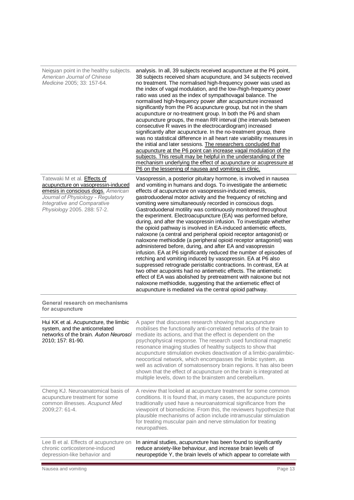| Neiguan point in the healthy subjects.<br>American Journal of Chinese<br>Medicine 2005; 33: 157-64.<br>Tatewaki M et al. <b>Effects of</b><br>acupuncture on vasopressin-induced<br>emesis in conscious dogs. American<br>Journal of Physiology - Regulatory<br><b>Integrative and Comparative</b><br>Physiology 2005. 288: 57-2. | analysis. In all, 39 subjects received acupuncture at the P6 point,<br>38 subjects received sham acupuncture, and 34 subjects received<br>no treatment. The normalised high-frequency power was used as<br>the index of vagal modulation, and the low-/high-frequency power<br>ratio was used as the index of sympathovagal balance. The<br>normalised high-frequency power after acupuncture increased<br>significantly from the P6 acupuncture group, but not in the sham<br>acupuncture or no-treatment group. In both the P6 and sham<br>acupuncture groups, the mean RR interval (the intervals between<br>consecutive R waves in the electrocardiogram) increased<br>significantly after acupuncture. In the no-treatment group, there<br>was no statistical difference in all heart rate variability measures in<br>the initial and later sessions. The researchers concluded that<br>acupuncture at the P6 point can increase vagal modulation of the<br>subjects. This result may be helpful in the understanding of the<br>mechanism underlying the effect of acupuncture or acupressure at<br>P6 on the lessening of nausea and vomiting in clinic.<br>Vasopressin, a posterior pituitary hormone, is involved in nausea<br>and vomiting in humans and dogs. To investigate the antiemetic<br>effects of acupuncture on vasopressin-induced emesis,<br>gastroduodenal motor activity and the frequency of retching and<br>vomiting were simultaneously recorded in conscious dogs.<br>Gastroduodenal motility was continuously monitored throughout |
|-----------------------------------------------------------------------------------------------------------------------------------------------------------------------------------------------------------------------------------------------------------------------------------------------------------------------------------|----------------------------------------------------------------------------------------------------------------------------------------------------------------------------------------------------------------------------------------------------------------------------------------------------------------------------------------------------------------------------------------------------------------------------------------------------------------------------------------------------------------------------------------------------------------------------------------------------------------------------------------------------------------------------------------------------------------------------------------------------------------------------------------------------------------------------------------------------------------------------------------------------------------------------------------------------------------------------------------------------------------------------------------------------------------------------------------------------------------------------------------------------------------------------------------------------------------------------------------------------------------------------------------------------------------------------------------------------------------------------------------------------------------------------------------------------------------------------------------------------------------------------------------------------------------|
|                                                                                                                                                                                                                                                                                                                                   | the experiment. Electroacupuncture (EA) was performed before,<br>during, and after the vasopressin infusion. To investigate whether<br>the opioid pathway is involved in EA-induced antiemetic effects,<br>naloxone (a central and peripheral opioid receptor antagonist) or<br>naloxone methiodide (a peripheral opioid receptor antagonist) was<br>administered before, during, and after EA and vasopressin<br>infusion. EA at P6 significantly reduced the number of episodes of<br>retching and vomiting induced by vasopressin. EA at P6 also<br>suppressed retrograde peristaltic contractions. In contrast, EA at<br>two other acupoints had no antiemetic effects. The antiemetic<br>effect of EA was abolished by pretreatment with naloxone but not<br>naloxone methiodide, suggesting that the antiemetic effect of<br>acupuncture is mediated via the central opioid pathway.                                                                                                                                                                                                                                                                                                                                                                                                                                                                                                                                                                                                                                                                     |
| General research on mechanisms<br>for acupuncture                                                                                                                                                                                                                                                                                 |                                                                                                                                                                                                                                                                                                                                                                                                                                                                                                                                                                                                                                                                                                                                                                                                                                                                                                                                                                                                                                                                                                                                                                                                                                                                                                                                                                                                                                                                                                                                                                |
| Hui KK et al. Acupuncture, the limbic<br>system, and the anticorrelated<br>networks of the brain. Auton Neurosci<br>2010; 157: 81-90.                                                                                                                                                                                             | A paper that discusses research showing that acupuncture<br>mobilises the functionally anti-correlated networks of the brain to<br>mediate its actions, and that the effect is dependent on the<br>psychophysical response. The research used functional magnetic<br>resonance imaging studies of healthy subjects to show that<br>acupuncture stimulation evokes deactivation of a limbic-paralimbic-<br>neocortical network, which encompasses the limbic system, as<br>well as activation of somatosensory brain regions. It has also been<br>shown that the effect of acupuncture on the brain is integrated at<br>multiple levels, down to the brainstem and cerebellum.                                                                                                                                                                                                                                                                                                                                                                                                                                                                                                                                                                                                                                                                                                                                                                                                                                                                                  |
| Cheng KJ. Neuroanatomical basis of<br>acupuncture treatment for some<br>common illnesses. Acupunct Med<br>2009;27: 61-4.                                                                                                                                                                                                          | A review that looked at acupuncture treatment for some common<br>conditions. It is found that, in many cases, the acupuncture points<br>traditionally used have a neuroanatomical significance from the<br>viewpoint of biomedicine. From this, the reviewers hypothesize that<br>plausible mechanisms of action include intramuscular stimulation<br>for treating muscular pain and nerve stimulation for treating<br>neuropathies.                                                                                                                                                                                                                                                                                                                                                                                                                                                                                                                                                                                                                                                                                                                                                                                                                                                                                                                                                                                                                                                                                                                           |
| Lee B et al. Effects of acupuncture on<br>chronic corticosterone-induced<br>depression-like behavior and                                                                                                                                                                                                                          | In animal studies, acupuncture has been found to significantly<br>reduce anxiety-like behaviour, and increase brain levels of<br>neuropeptide Y, the brain levels of which appear to correlate with                                                                                                                                                                                                                                                                                                                                                                                                                                                                                                                                                                                                                                                                                                                                                                                                                                                                                                                                                                                                                                                                                                                                                                                                                                                                                                                                                            |

E